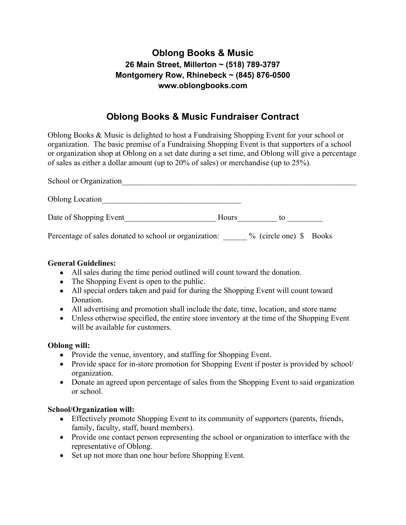## **Oblong Books & Music 26 Main Street, Millerton ~ (518) 789-3797 Montgomery Row, Rhinebeck ~ (845) 876-0500 www.oblongbooks.com**

# **Oblong Books & Music Fundraiser Contract**

Oblong Books & Music is delighted to host a Fundraising Shopping Event for your school or organization. The basic premise of a Fundraising Shopping Event is that supporters of a school or organization shop at Oblong on a set date during a set time, and Oblong will give a percentage of sales as either a dollar amount (up to 20% of sales) or merchandise (up to 25%).

| School or Organization                                 |       |                      |              |
|--------------------------------------------------------|-------|----------------------|--------------|
| <b>Oblong Location</b>                                 |       |                      |              |
| Date of Shopping Event                                 | Hours | tο                   |              |
| Percentage of sales donated to school or organization: |       | $%$ (circle one) $\$ | <b>Books</b> |

#### **General Guidelines:**

- All sales during the time period outlined will count toward the donation.
- The Shopping Event is open to the public.
- All special orders taken and paid for during the Shopping Event will count toward Donation.
- All advertising and promotion shall include the date, time, location, and store name
- Unless otherwise specified, the entire store inventory at the time of the Shopping Event will be available for customers.

## **Oblong will:**

- Provide the venue, inventory, and staffing for Shopping Event.
- Provide space for in-store promotion for Shopping Event if poster is provided by school/ organization.
- Donate an agreed upon percentage of sales from the Shopping Event to said organization or school.

## **School/Organization will:**

- Effectively promote Shopping Event to its community of supporters (parents, friends, family, faculty, staff, board members).
- Provide one contact person representing the school or organization to interface with the representative of Oblong.
- Set up not more than one hour before Shopping Event.